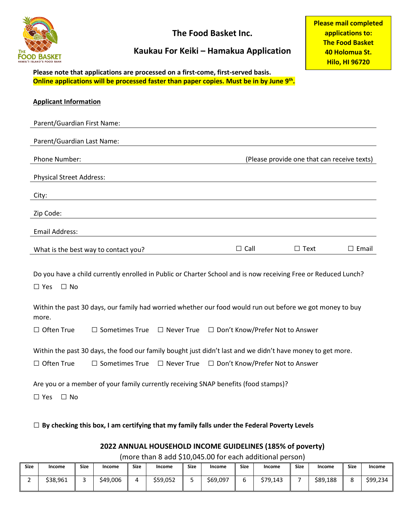

**The Food Basket Inc.**

## **Kaukau For Keiki – Hamakua Application**

**Please mail completed applications to: The Food Basket 40 Holomua St. Hilo, HI 96720**

**Please note that applications are processed on a first-come, first-served basis. Online applications will be processed faster than paper copies. Must be in by June 9th.**

| <b>Applicant Information</b>                                                                                                                    |                                                                                |                   |                                   |                                             |                 |  |  |
|-------------------------------------------------------------------------------------------------------------------------------------------------|--------------------------------------------------------------------------------|-------------------|-----------------------------------|---------------------------------------------|-----------------|--|--|
| Parent/Guardian First Name:                                                                                                                     |                                                                                |                   |                                   |                                             |                 |  |  |
| Parent/Guardian Last Name:                                                                                                                      |                                                                                |                   |                                   |                                             |                 |  |  |
| Phone Number:                                                                                                                                   |                                                                                |                   |                                   | (Please provide one that can receive texts) |                 |  |  |
| <b>Physical Street Address:</b>                                                                                                                 |                                                                                |                   |                                   |                                             |                 |  |  |
| City:                                                                                                                                           |                                                                                |                   |                                   |                                             |                 |  |  |
| Zip Code:                                                                                                                                       |                                                                                |                   |                                   |                                             |                 |  |  |
| <b>Email Address:</b>                                                                                                                           |                                                                                |                   |                                   |                                             |                 |  |  |
|                                                                                                                                                 | What is the best way to contact you?                                           |                   | $\Box$ Call                       | $\Box$ Text                                 | $\square$ Email |  |  |
| Do you have a child currently enrolled in Public or Charter School and is now receiving Free or Reduced Lunch?<br>$\square$ No<br>$\square$ Yes |                                                                                |                   |                                   |                                             |                 |  |  |
| Within the past 30 days, our family had worried whether our food would run out before we got money to buy<br>more.                              |                                                                                |                   |                                   |                                             |                 |  |  |
| $\Box$ Often True                                                                                                                               | $\Box$ Sometimes True $\Box$ Never True $\Box$ Don't Know/Prefer Not to Answer |                   |                                   |                                             |                 |  |  |
| Within the past 30 days, the food our family bought just didn't last and we didn't have money to get more.                                      |                                                                                |                   |                                   |                                             |                 |  |  |
| $\Box$ Often True                                                                                                                               | $\Box$ Sometimes True                                                          | $\Box$ Never True | □ Don't Know/Prefer Not to Answer |                                             |                 |  |  |
| Are you or a member of your family currently receiving SNAP benefits (food stamps)?<br>$\Box$ Yes<br>$\Box$ No                                  |                                                                                |                   |                                   |                                             |                 |  |  |
| $\Box$ By checking this box, I am certifying that my family falls under the Federal Poverty Levels                                              |                                                                                |                   |                                   |                                             |                 |  |  |

## **2022 ANNUAL HOUSEHOLD INCOME GUIDELINES (185% of poverty)**

(more than 8 add \$10,045.00 for each additional person)

| <b>Size</b> | Income   | <b>Size</b> | Income   | <b>Size</b> | Income   | <b>Size</b> | Income   | <b>Size</b> | Income   | <b>Size</b> | Income   | <b>Size</b> | Income   |
|-------------|----------|-------------|----------|-------------|----------|-------------|----------|-------------|----------|-------------|----------|-------------|----------|
| -           | \$38,961 |             | \$49,006 |             | \$59,052 | ـ           | \$69,097 |             | \$79.143 |             | \$89,188 |             | \$99,234 |